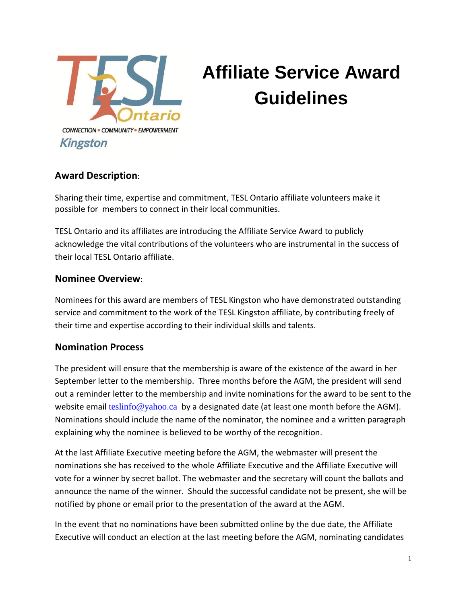

# **Affiliate Service Award Guidelines**

### **Award Description**:

Sharing their time, expertise and commitment, TESL Ontario affiliate volunteers make it possible for members to connect in their local communities.

TESL Ontario and its affiliates are introducing the Affiliate Service Award to publicly acknowledge the vital contributions of the volunteers who are instrumental in the success of their local TESL Ontario affiliate.

#### **Nominee Overview**:

Nominees for this award are members of TESL Kingston who have demonstrated outstanding service and commitment to the work of the TESL Kingston affiliate, by contributing freely of their time and expertise according to their individual skills and talents.

### **Nomination Process**

The president will ensure that the membership is aware of the existence of the award in her September letter to the membership. Three months before the AGM, the president will send out a reminder letter to the membership and invite nominations for the award to be sent to the website email [teslinfo@yahoo.ca](mailto:teslinfo@yahoo.ca) by a designated date (at least one month before the AGM). Nominations should include the name of the nominator, the nominee and a written paragraph explaining why the nominee is believed to be worthy of the recognition.

At the last Affiliate Executive meeting before the AGM, the webmaster will present the nominations she has received to the whole Affiliate Executive and the Affiliate Executive will vote for a winner by secret ballot. The webmaster and the secretary will count the ballots and announce the name of the winner. Should the successful candidate not be present, she will be notified by phone or email prior to the presentation of the award at the AGM.

In the event that no nominations have been submitted online by the due date, the Affiliate Executive will conduct an election at the last meeting before the AGM, nominating candidates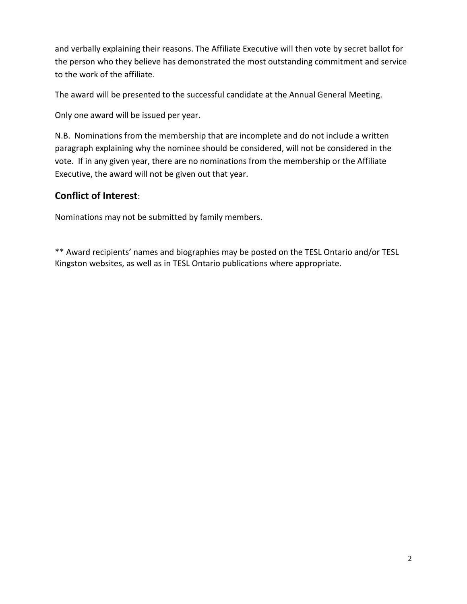and verbally explaining their reasons. The Affiliate Executive will then vote by secret ballot for the person who they believe has demonstrated the most outstanding commitment and service to the work of the affiliate.

The award will be presented to the successful candidate at the Annual General Meeting.

Only one award will be issued per year.

N.B. Nominations from the membership that are incomplete and do not include a written paragraph explaining why the nominee should be considered, will not be considered in the vote. If in any given year, there are no nominations from the membership or the Affiliate Executive, the award will not be given out that year.

## **Conflict of Interest**:

Nominations may not be submitted by family members.

\*\* Award recipients' names and biographies may be posted on the TESL Ontario and/or TESL Kingston websites, as well as in TESL Ontario publications where appropriate.